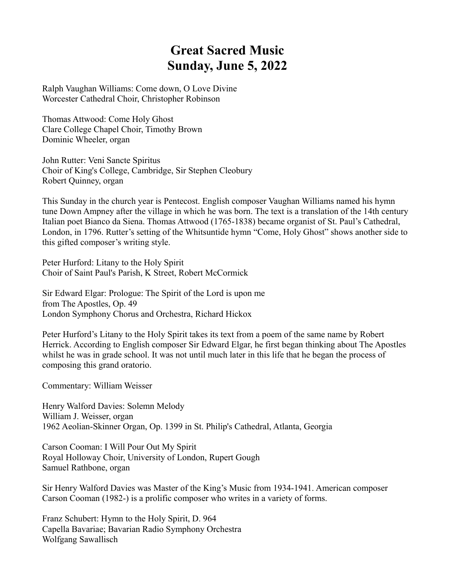## **Great Sacred Music Sunday, June 5, 2022**

Ralph Vaughan Williams: Come down, O Love Divine Worcester Cathedral Choir, Christopher Robinson

Thomas Attwood: Come Holy Ghost Clare College Chapel Choir, Timothy Brown Dominic Wheeler, organ

John Rutter: Veni Sancte Spiritus Choir of King's College, Cambridge, Sir Stephen Cleobury Robert Quinney, organ

This Sunday in the church year is Pentecost. English composer Vaughan Williams named his hymn tune Down Ampney after the village in which he was born. The text is a translation of the 14th century Italian poet Bianco da Siena. Thomas Attwood (1765-1838) became organist of St. Paul's Cathedral, London, in 1796. Rutter's setting of the Whitsuntide hymn "Come, Holy Ghost" shows another side to this gifted composer's writing style.

Peter Hurford: Litany to the Holy Spirit Choir of Saint Paul's Parish, K Street, Robert McCormick

Sir Edward Elgar: Prologue: The Spirit of the Lord is upon me from The Apostles, Op. 49 London Symphony Chorus and Orchestra, Richard Hickox

Peter Hurford's Litany to the Holy Spirit takes its text from a poem of the same name by Robert Herrick. According to English composer Sir Edward Elgar, he first began thinking about The Apostles whilst he was in grade school. It was not until much later in this life that he began the process of composing this grand oratorio.

Commentary: William Weisser

Henry Walford Davies: Solemn Melody William J. Weisser, organ 1962 Aeolian-Skinner Organ, Op. 1399 in St. Philip's Cathedral, Atlanta, Georgia

Carson Cooman: I Will Pour Out My Spirit Royal Holloway Choir, University of London, Rupert Gough Samuel Rathbone, organ

Sir Henry Walford Davies was Master of the King's Music from 1934-1941. American composer Carson Cooman (1982-) is a prolific composer who writes in a variety of forms.

Franz Schubert: Hymn to the Holy Spirit, D. 964 Capella Bavariae; Bavarian Radio Symphony Orchestra Wolfgang Sawallisch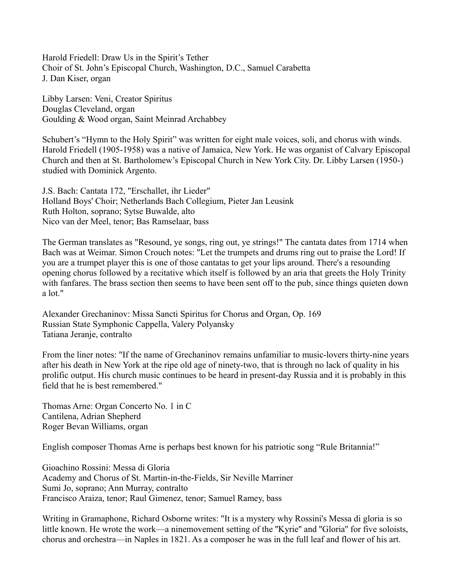Harold Friedell: Draw Us in the Spirit's Tether Choir of St. John's Episcopal Church, Washington, D.C., Samuel Carabetta J. Dan Kiser, organ

Libby Larsen: Veni, Creator Spiritus Douglas Cleveland, organ Goulding & Wood organ, Saint Meinrad Archabbey

Schubert's "Hymn to the Holy Spirit" was written for eight male voices, soli, and chorus with winds. Harold Friedell (1905-1958) was a native of Jamaica, New York. He was organist of Calvary Episcopal Church and then at St. Bartholomew's Episcopal Church in New York City. Dr. Libby Larsen (1950-) studied with Dominick Argento.

J.S. Bach: Cantata 172, "Erschallet, ihr Lieder" Holland Boys' Choir; Netherlands Bach Collegium, Pieter Jan Leusink Ruth Holton, soprano; Sytse Buwalde, alto Nico van der Meel, tenor; Bas Ramselaar, bass

The German translates as "Resound, ye songs, ring out, ye strings!" The cantata dates from 1714 when Bach was at Weimar. Simon Crouch notes: "Let the trumpets and drums ring out to praise the Lord! If you are a trumpet player this is one of those cantatas to get your lips around. There's a resounding opening chorus followed by a recitative which itself is followed by an aria that greets the Holy Trinity with fanfares. The brass section then seems to have been sent off to the pub, since things quieten down a lot."

Alexander Grechaninov: Missa Sancti Spiritus for Chorus and Organ, Op. 169 Russian State Symphonic Cappella, Valery Polyansky Tatiana Jeranje, contralto

From the liner notes: "If the name of Grechaninov remains unfamiliar to music-lovers thirty-nine years after his death in New York at the ripe old age of ninety-two, that is through no lack of quality in his prolific output. His church music continues to be heard in present-day Russia and it is probably in this field that he is best remembered."

Thomas Arne: Organ Concerto No. 1 in C Cantilena, Adrian Shepherd Roger Bevan Williams, organ

English composer Thomas Arne is perhaps best known for his patriotic song "Rule Britannia!"

Gioachino Rossini: Messa di Gloria Academy and Chorus of St. Martin-in-the-Fields, Sir Neville Marriner Sumi Jo, soprano; Ann Murray, contralto Francisco Araiza, tenor; Raul Gimenez, tenor; Samuel Ramey, bass

Writing in Gramaphone, Richard Osborne writes: "It is a mystery why Rossini's Messa di gloria is so little known. He wrote the work—a ninemovement setting of the ''Kyrie'' and ''Gloria'' for five soloists, chorus and orchestra—in Naples in 1821. As a composer he was in the full leaf and flower of his art.